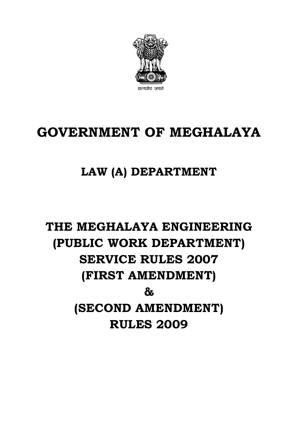

## **GOVERNMENT OF MEGHALAYA**

## **LAW (A) DEPARTMENT**

# **THE MEGHALAYA ENGINEERING (PUBLIC WORK DEPARTMENT) SERVICE RULES 2007 (FIRST AMENDMENT) & (SECOND AMENDMENT) RULES 2009**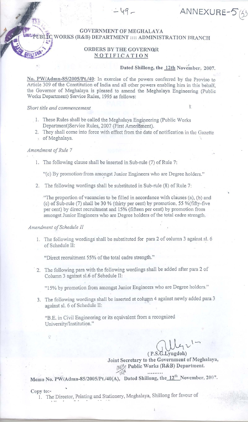, WORKS (R&B) DEPARTMENT :::: ADMINISTRATION BRANCH GOVERNMENT OF MEGHALAYA

### ORDERS BY THE GOVERNOR NOTIFICATION

 $-49-$ 

#### Dated Shillong, the 12th November, 2007.

ANNEXURE-5(53

No. *PW/Admn-8S/200S/Pt.l40:* In exercise of the powers conferred by the Proviso to Article 309 of the Constitution of India and all other powers enabling him in this behalf, the Governor of Meghalaya is pleased to amend the Meghalaya Engineering (Public Works Department) Service Rules, 1995 as follows:

*Short title and commencement* 1.

- 1. These Rules shall be called the Meghalaya Engineering (Public Works) Department)Service Rules, 2007 (First Amendment).
- 2. They shall come into force with effect from the date of notification in the Gazette of Meghalaya.

#### Amendment of Rule 7

1. The following clause shall be inserted in Sub-rule (7) of Rule 7:

"(c) By promotion' from amongst Junior Engineers who are Degree holders."

2. The following wordings shall be substituted in Sub-rule (8) of Rule 7:

"The proportion of vacancies to be filled in accordance with clauses (a), (b) and (c) of Sub-rule (7) shall be 30 % (thirty per cent) by promotion, 55 %(fifty-five per cent) by direct recruitment and 15% (fifteen per cent) by promotion from amongst Junior Engineers who are Degree holders of the total cadre strength.

#### *Amendment ofSchedule* <sup>11</sup>

1. The following wordings shall be substituted for para 2 of column 3 against sl. 6 of Schedule II:

"Direct recruitment 55% of the total cadre strength."

. 2. The following para with the following wordings shall be added after para 2 of Column 3 against s1.6 of Schedule II:

"15% by promotion from amongst Junior Engineers who are Degree holders."

3. The following wordings shall be inserted at column 4 against newly added para 3 against s1. 6 of Schedule II:

"BE in Civil Engineering or its equivalent from a recognized University/Institution."

 $421 -$ 

(P.S.G.Lyngdoh)<br>Joint Secretary to the Government of Meghalaya, Public Works (R&B) Department.

Memo No. *PW/Admn-85/2005/Pt./40(A),* Dated Shillong, the  $12^{th}$  November, 2007.

 $Copy to:$   $'$ 

 $\mathcal{C}^{\bullet}$ 

1. The Director, Printing and Stationery, Meghalaya, Shlliong for favour of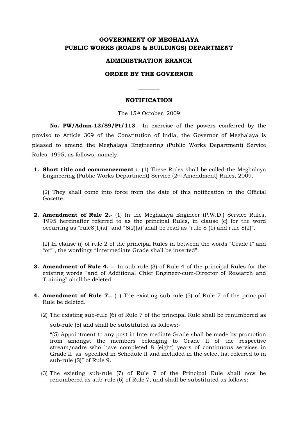### **GOVERNMENT OF MEGHALAYA PUBLIC WORKS (ROADS & BUILDINGS) DEPARTMENT**

#### **ADMINISTRATION BRANCH**

#### **ORDER BY THE GOVERNOR**

**\_\_\_\_\_\_\_** 

#### **NOTIFICATION**

The 15th October, 2009

**No. PW/Admn-13/89/Pt/113**.- In exercise of the powers conferred by the proviso to Article 309 of the Constitution of India, the Governor of Meghalaya is pleased to amend the Meghalaya Engineering (Public Works Department) Service Rules, 1995, as follows, namely:-

**1. Short title and commencement :-** (1) These Rules shall be called the Meghalaya Engineering (Public Works Department) Service (2nd Amendment) Rules, 2009.

(2) They shall come into force from the date of this notification in the Official Gazette.

**2. Amendment of Rule 2.-** (1) In the Meghalaya Engineer (P.W.D.) Service Rules, 1995 hereinafter referred to as the principal Rules, in clause (c) for the word occurring as "rule 8(1)(a)" and "8(2)(a)" shall be read as "rule 8(1) and rule 8(2)".

(2) In clause (i) of rule 2 of the principal Rules in between the words "Grade I" and "or" , the wordings "Intermediate Grade shall be inserted".

- **3. Amendment of Rule 4. -** In sub rule (3) of Rule 4 of the principal Rules for the existing words "and of Additional Chief Engineer-cum-Director of Research and Training" shall be deleted.
- **4. Amendment of Rule 7.-** (1) The existing sub-rule (5) of Rule 7 of the principal Rule be deleted.
	- (2) The existing sub-rule (6) of Rule 7 of the principal Rule shall be renumbered as sub-rule (5) and shall be substituted as follows:-

"(5) Appointment to any post in Intermediate Grade shall be made by promotion from amongst the members belonging to Grade II of the respective stream/cadre who have completed 8 (eight) years of continuous services in Grade II as specified in Schedule II and included in the select list referred to in sub-rule (S)" of Rule 9.

(3) The existing sub-rule (7) of Rule 7 of the Principal Rule shall now be renumbered as sub-rule (6) of Rule 7, and shall be substituted as follows: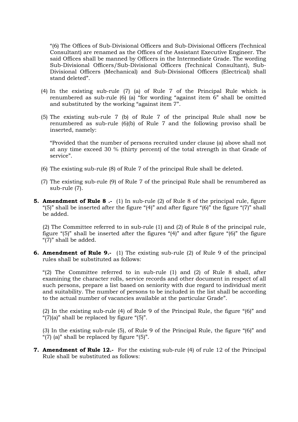"(6) The Offices of Sub-Divisional Officers and Sub-Divisional Officers (Technical Consultant) are renamed as the Offices of the Assistant Executive Engineer. The said Offices shall be manned by Officers in the Intermediate Grade. The wording Sub-Divisional Officers/Sub-Divisional Officers (Technical Consultant), Sub-Divisional Officers (Mechanical) and Sub-Divisional Officers (Electrical) shall stand deleted".

- $(4)$  In the existing sub-rule  $(7)$  (a) of Rule 7 of the Principal Rule which is renumbered as sub-rule (6) (a) "for wording "against item 6" shall be omitted and substituted by the working "against item 7".
- (5) The existing sub-rule 7 (b) of Rule 7 of the principal Rule shall now be renumbered as sub-rule (6)(b) of Rule 7 and the following proviso shall be inserted, namely:

"Provided that the number of persons recruited under clause (a) above shall not at any time exceed 30 % (thirty percent) of the total strength in that Grade of service".

- (6) The existing sub-rule (8) of Rule 7 of the principal Rule shall be deleted.
- (7) The existing sub-rule (9) of Rule 7 of the principal Rule shall be renumbered as sub-rule (7).
- **5. Amendment of Rule 8.** (1) In sub-rule (2) of Rule 8 of the principal rule, figure "(5)" shall be inserted after the figure "(4)" and after figure "(6)" the figure "(7)" shall be added.

(2) The Committee referred to in sub-rule (1) and (2) of Rule 8 of the principal rule, figure "(5)" shall be inserted after the figures "(4)" and after figure "(6)" the figure "(7)" shall be added.

**6. Amendment of Rule 9.-** (1) The existing sub-rule (2) of Rule 9 of the principal rules shall be substituted as follows:

"(2) The Committee referred to in sub-rule  $(1)$  and  $(2)$  of Rule 8 shall, after examining the character rolls, service records and other document in respect of all such persons, prepare a list based on seniority with due regard to individual merit and suitability. The number of persons to be included in the list shall be according to the actual number of vacancies available at the particular Grade".

(2) In the existing sub-rule (4) of Rule 9 of the Principal Rule, the figure "(6)" and " $(7)(a)$ " shall be replaced by figure " $(5)$ ".

(3) In the existing sub-rule (5), of Rule 9 of the Principal Rule, the figure "(6)" and "(7) (a)" shall be replaced by figure " $(5)$ ".

**7. Amendment of Rule 12.-** For the existing sub-rule (4) of rule 12 of the Principal Rule shall be substituted as follows: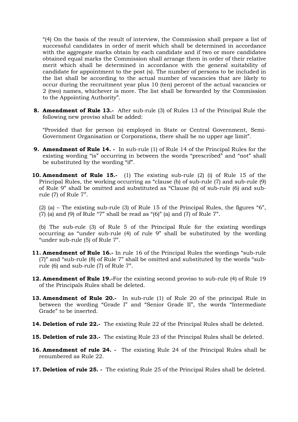"(4) On the basis of the result of interview, the Commission shall prepare a list of successful candidates in order of merit which shall be determined in accordance with the aggregate marks obtain by each candidate and if two or more candidates obtained equal marks the Commission shall arrange them in order of their relative merit which shall be determined in accordance with the general suitability of candidate for appointment to the post (s). The number of persons to be included in the list shall be according to the actual number of vacancies that are likely to occur during the recruitment year plus 10 (ten) percent of the actual vacancies or 2 (two) names, whichever is more. The list shall be forwarded by the Commission to the Appointing Authority".

**8. Amendment of Rule 13.-** After sub-rule (3) of Rules 13 of the Principal Rule the following new proviso shall be added:

"Provided that for person (s) employed in State or Central Government, Semi-Government Organisation or Corporations, there shall be no upper age limit".

- **9. Amendment of Rule 14. -** In sub-rule (1) of Rule 14 of the Principal Rules for the existing wording "is" occurring in between the words "prescribed" and "not" shall be substituted by the wording "if".
- **10. Amendment of Rule 15.-** (1) The existing sub-rule (2) (i) of Rule 15 of the Principal Rules, the working occurring as "clause (b) of sub-rule (7) and sub-rule (9) of Rule 9" shall be omitted and substituted as "Clause (b) of sub-rule (6) and subrule (7) of Rule 7".

(2) (a) – The existing sub-rule (3) of Rule 15 of the Principal Rules, the figures " $6$ ", (7) (a) and (9) of Rule "7" shall be read as " $(6)$ " (a) and  $(7)$  of Rule  $7$ ".

(b) The sub-rule (3) of Rule 5 of the Principal Rule for the existing wordings occurring as "under sub-rule (4) of rule 9" shall be substituted by the wording "under sub-rule (5) of Rule 7".

- **11. Amendment of Rule 16.-** In rule 16 of the Principal Rules the wordings "sub-rule (7)" and "sub-rule (8) of Rule 7" shall be omitted and substituted by the words "subrule (6) and sub-rule (7) of Rule 7".
- **12. Amendment of Rule 19.-**For the existing second proviso to sub-rule (4) of Rule 19 of the Principals Rules shall be deleted.
- **13. Amendment of Rule 20.-** In sub-rule (1) of Rule 20 of the principal Rule in between the wording "Grade I" and "Senior Grade II", the words "Intermediate Grade" to be inserted.
- **14. Deletion of rule 22.-** The existing Rule 22 of the Principal Rules shall be deleted.
- **15. Deletion of rule 23.-** The existing Rule 23 of the Principal Rules shall be deleted.
- **16. Amendment of rule 24. -** The existing Rule 24 of the Principal Rules shall be renumbered as Rule 22.
- **17. Deletion of rule 25. -** The existing Rule 25 of the Principal Rules shall be deleted.